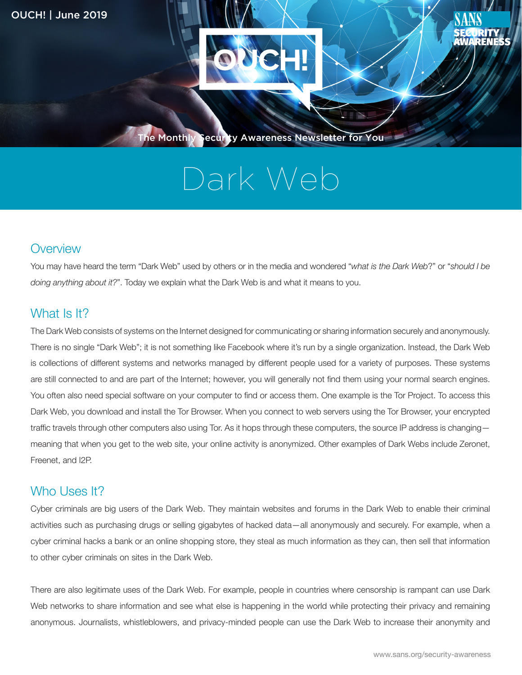

The Monthly Security Awareness Newsletter for You

# Dark Web

#### **Overview**

You may have heard the term "Dark Web" used by others or in the media and wondered "what is the Dark Web?" or "should I be doing anything about it?". Today we explain what the Dark Web is and what it means to you.

### What Is It?

The Dark Web consists of systems on the Internet designed for communicating or sharing information securely and anonymously. There is no single "Dark Web"; it is not something like Facebook where it's run by a single organization. Instead, the Dark Web is collections of different systems and networks managed by different people used for a variety of purposes. These systems are still connected to and are part of the Internet; however, you will generally not find them using your normal search engines. You often also need special software on your computer to find or access them. One example is the Tor Project. To access this Dark Web, you download and install the Tor Browser. When you connect to web servers using the Tor Browser, your encrypted traffic travels through other computers also using Tor. As it hops through these computers, the source IP address is changing meaning that when you get to the web site, your online activity is anonymized. Other examples of Dark Webs include Zeronet, Freenet, and I2P.

#### Who Uses It?

Cyber criminals are big users of the Dark Web. They maintain websites and forums in the Dark Web to enable their criminal activities such as purchasing drugs or selling gigabytes of hacked data — all anonymously and securely. For example, when a cyber criminal hacks a bank or an online shopping store, they steal as much information as they can, then sell that information to other cyber criminals on sites in the Dark Web.

There are also legitimate uses of the Dark Web. For example, people in countries where censorship is rampant can use Dark Web networks to share information and see what else is happening in the world while protecting their privacy and remaining anonymous. Journalists, whistleblowers, and privacy-minded people can use the Dark Web to increase their anonymity and